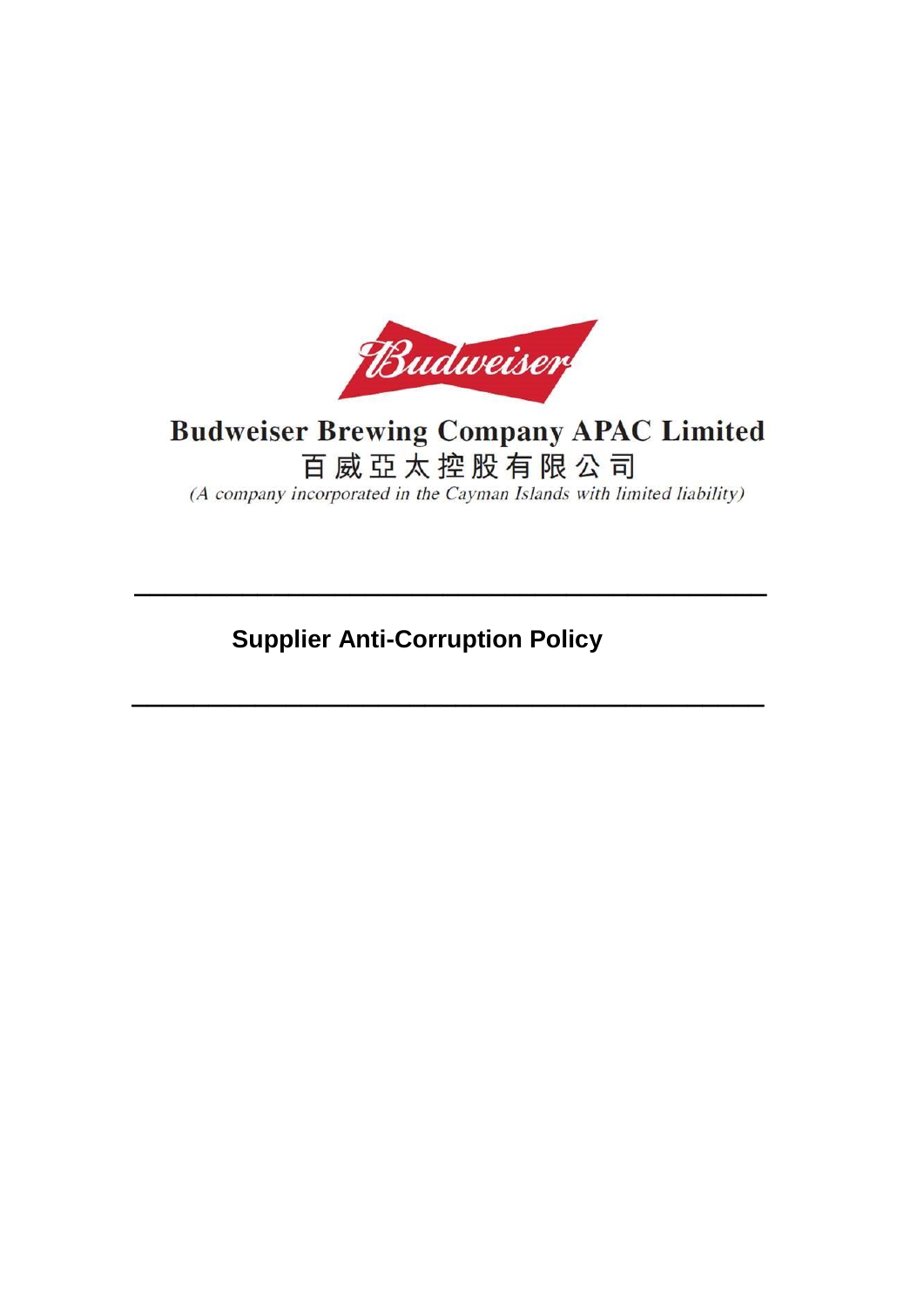

# **Budweiser Brewing Company APAC Limited** 百威亞太控股有限公司

(A company incorporated in the Cayman Islands with limited liability)

## **Supplier Anti-Corruption Policy**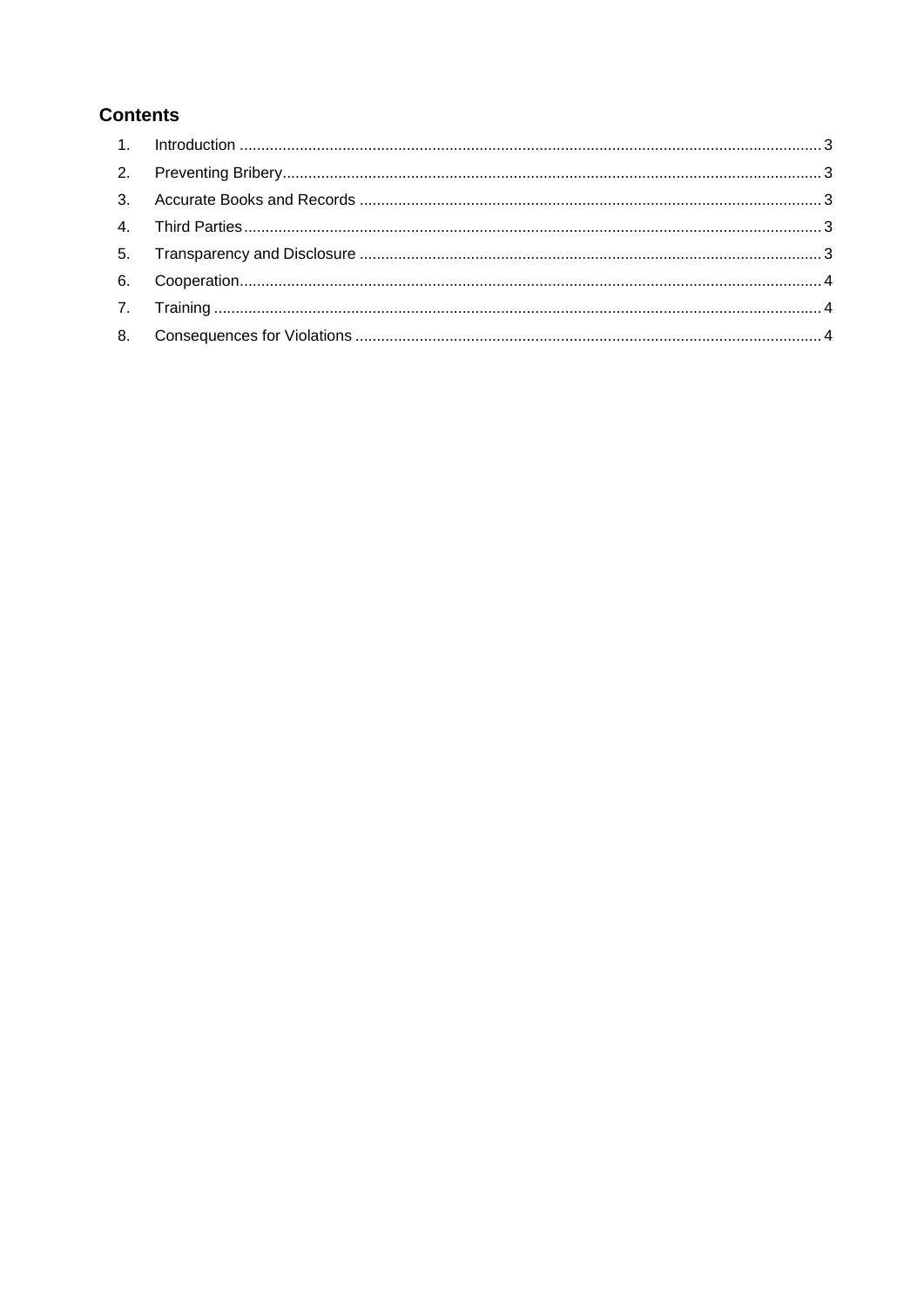### **Contents**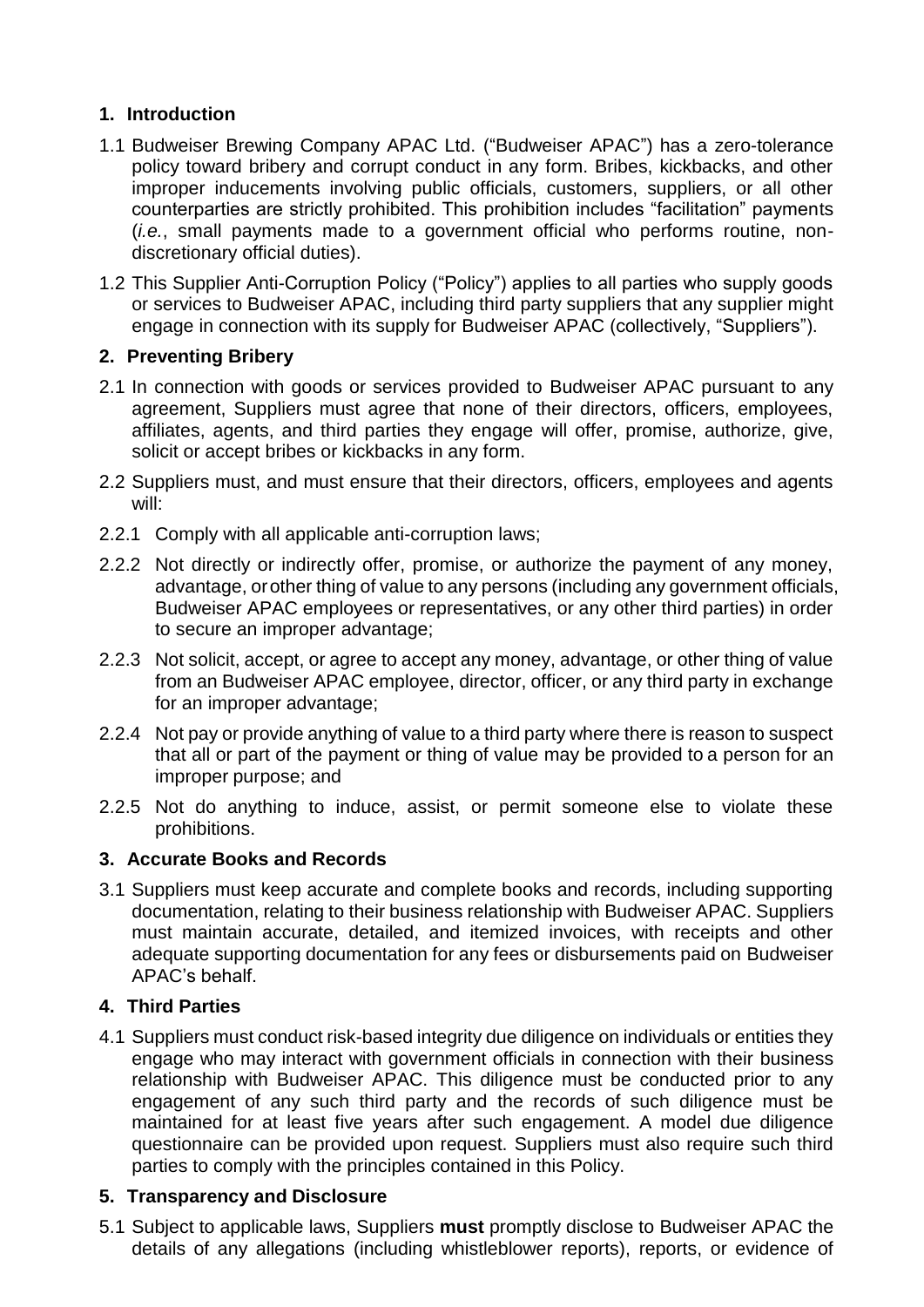#### <span id="page-2-0"></span>**1. Introduction**

- 1.1 Budweiser Brewing Company APAC Ltd. ("Budweiser APAC") has a zero-tolerance policy toward bribery and corrupt conduct in any form. Bribes, kickbacks, and other improper inducements involving public officials, customers, suppliers, or all other counterparties are strictly prohibited. This prohibition includes "facilitation" payments (*i.e.*, small payments made to a government official who performs routine, nondiscretionary official duties).
- 1.2 This Supplier Anti-Corruption Policy ("Policy") applies to all parties who supply goods or services to Budweiser APAC, including third party suppliers that any supplier might engage in connection with its supply for Budweiser APAC (collectively, "Suppliers").

#### <span id="page-2-1"></span>**2. Preventing Bribery**

- 2.1 In connection with goods or services provided to Budweiser APAC pursuant to any agreement, Suppliers must agree that none of their directors, officers, employees, affiliates, agents, and third parties they engage will offer, promise, authorize, give, solicit or accept bribes or kickbacks in any form.
- 2.2 Suppliers must, and must ensure that their directors, officers, employees and agents will:
- 2.2.1 Comply with all applicable anti-corruption laws;
- 2.2.2 Not directly or indirectly offer, promise, or authorize the payment of any money, advantage, orother thing of value to any persons (including any government officials, Budweiser APAC employees or representatives, or any other third parties) in order to secure an improper advantage;
- 2.2.3 Not solicit, accept, or agree to accept any money, advantage, or other thing of value from an Budweiser APAC employee, director, officer, or any third party in exchange for an improper advantage;
- 2.2.4 Not pay or provide anything of value to a third party where there is reason to suspect that all or part of the payment or thing of value may be provided to a person for an improper purpose; and
- 2.2.5 Not do anything to induce, assist, or permit someone else to violate these prohibitions.

#### <span id="page-2-2"></span>**3. Accurate Books and Records**

3.1 Suppliers must keep accurate and complete books and records, including supporting documentation, relating to their business relationship with Budweiser APAC. Suppliers must maintain accurate, detailed, and itemized invoices, with receipts and other adequate supporting documentation for any fees or disbursements paid on Budweiser APAC's behalf.

#### <span id="page-2-3"></span>**4. Third Parties**

4.1 Suppliers must conduct risk-based integrity due diligence on individuals or entities they engage who may interact with government officials in connection with their business relationship with Budweiser APAC. This diligence must be conducted prior to any engagement of any such third party and the records of such diligence must be maintained for at least five years after such engagement. A model due diligence questionnaire can be provided upon request. Suppliers must also require such third parties to comply with the principles contained in this Policy.

#### <span id="page-2-4"></span>**5. Transparency and Disclosure**

5.1 Subject to applicable laws, Suppliers **must** promptly disclose to Budweiser APAC the details of any allegations (including whistleblower reports), reports, or evidence of